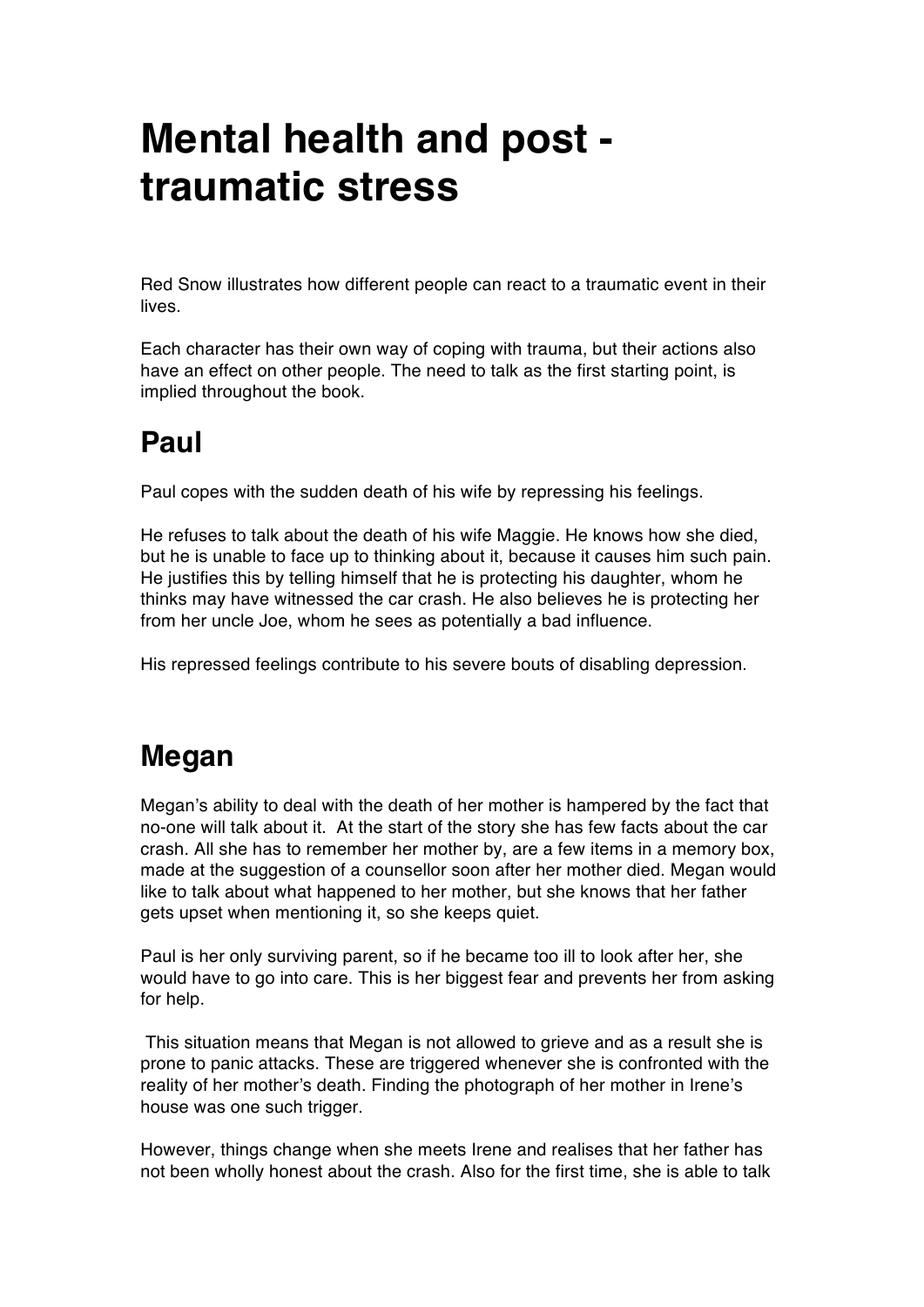# **Mental health and post traumatic stress**

Red Snow illustrates how different people can react to a traumatic event in their lives.

Each character has their own way of coping with trauma, but their actions also have an effect on other people. The need to talk as the first starting point, is implied throughout the book.

### **Paul**

Paul copes with the sudden death of his wife by repressing his feelings.

He refuses to talk about the death of his wife Maggie. He knows how she died, but he is unable to face up to thinking about it, because it causes him such pain. He justifies this by telling himself that he is protecting his daughter, whom he thinks may have witnessed the car crash. He also believes he is protecting her from her uncle Joe, whom he sees as potentially a bad influence.

His repressed feelings contribute to his severe bouts of disabling depression.

## **Megan**

Megan's ability to deal with the death of her mother is hampered by the fact that no-one will talk about it. At the start of the story she has few facts about the car crash. All she has to remember her mother by, are a few items in a memory box, made at the suggestion of a counsellor soon after her mother died. Megan would like to talk about what happened to her mother, but she knows that her father gets upset when mentioning it, so she keeps quiet.

Paul is her only surviving parent, so if he became too ill to look after her, she would have to go into care. This is her biggest fear and prevents her from asking for help.

This situation means that Megan is not allowed to grieve and as a result she is prone to panic attacks. These are triggered whenever she is confronted with the reality of her mother's death. Finding the photograph of her mother in Irene's house was one such trigger.

However, things change when she meets Irene and realises that her father has not been wholly honest about the crash. Also for the first time, she is able to talk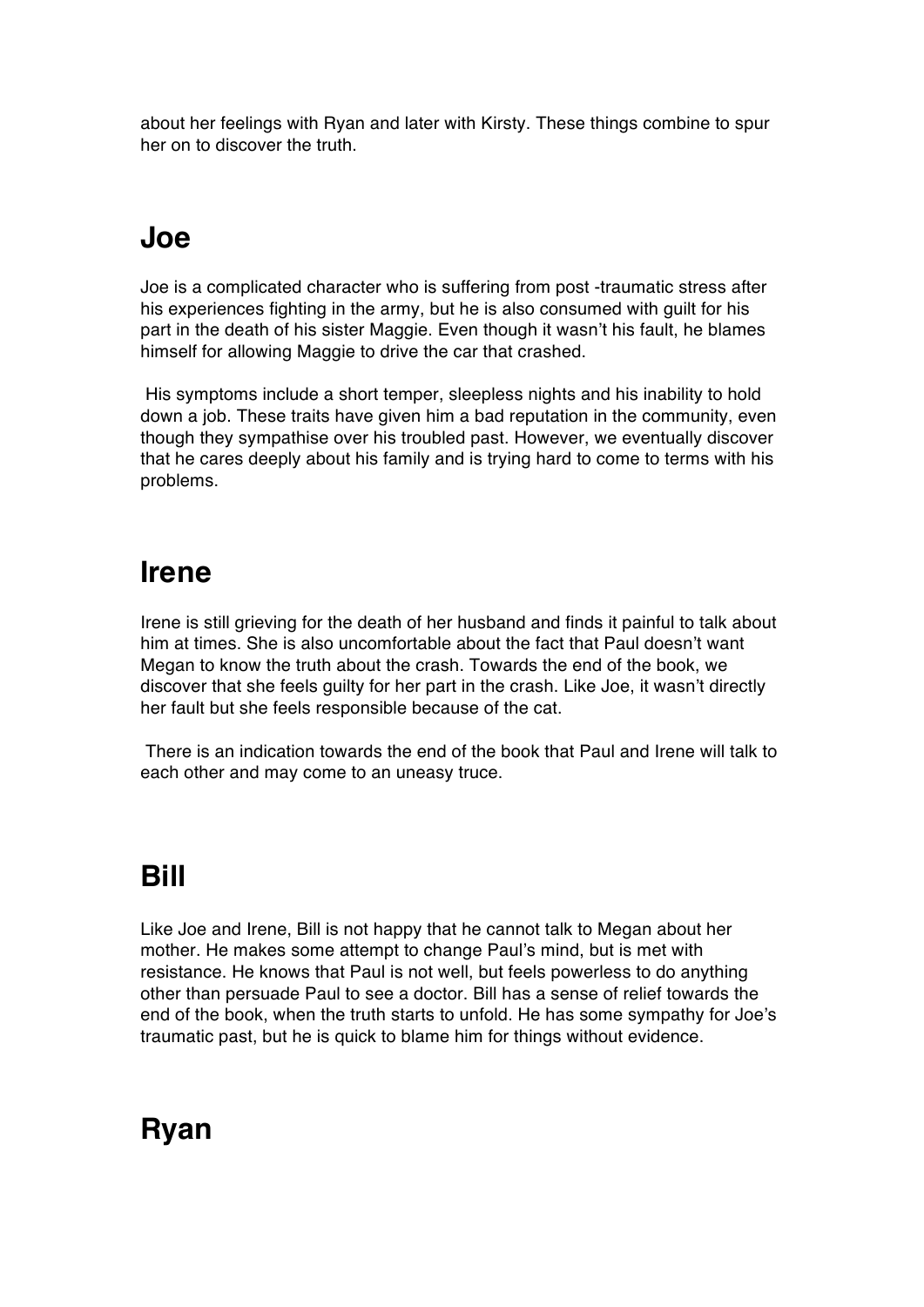about her feelings with Ryan and later with Kirsty. These things combine to spur her on to discover the truth.

#### **Joe**

Joe is a complicated character who is suffering from post -traumatic stress after his experiences fighting in the army, but he is also consumed with guilt for his part in the death of his sister Maggie. Even though it wasn't his fault, he blames himself for allowing Maggie to drive the car that crashed.

His symptoms include a short temper, sleepless nights and his inability to hold down a job. These traits have given him a bad reputation in the community, even though they sympathise over his troubled past. However, we eventually discover that he cares deeply about his family and is trying hard to come to terms with his problems.

#### **Irene**

Irene is still grieving for the death of her husband and finds it painful to talk about him at times. She is also uncomfortable about the fact that Paul doesn't want Megan to know the truth about the crash. Towards the end of the book, we discover that she feels guilty for her part in the crash. Like Joe, it wasn't directly her fault but she feels responsible because of the cat.

There is an indication towards the end of the book that Paul and Irene will talk to each other and may come to an uneasy truce.

### **Bill**

Like Joe and Irene, Bill is not happy that he cannot talk to Megan about her mother. He makes some attempt to change Paul's mind, but is met with resistance. He knows that Paul is not well, but feels powerless to do anything other than persuade Paul to see a doctor. Bill has a sense of relief towards the end of the book, when the truth starts to unfold. He has some sympathy for Joe's traumatic past, but he is quick to blame him for things without evidence.

### **Ryan**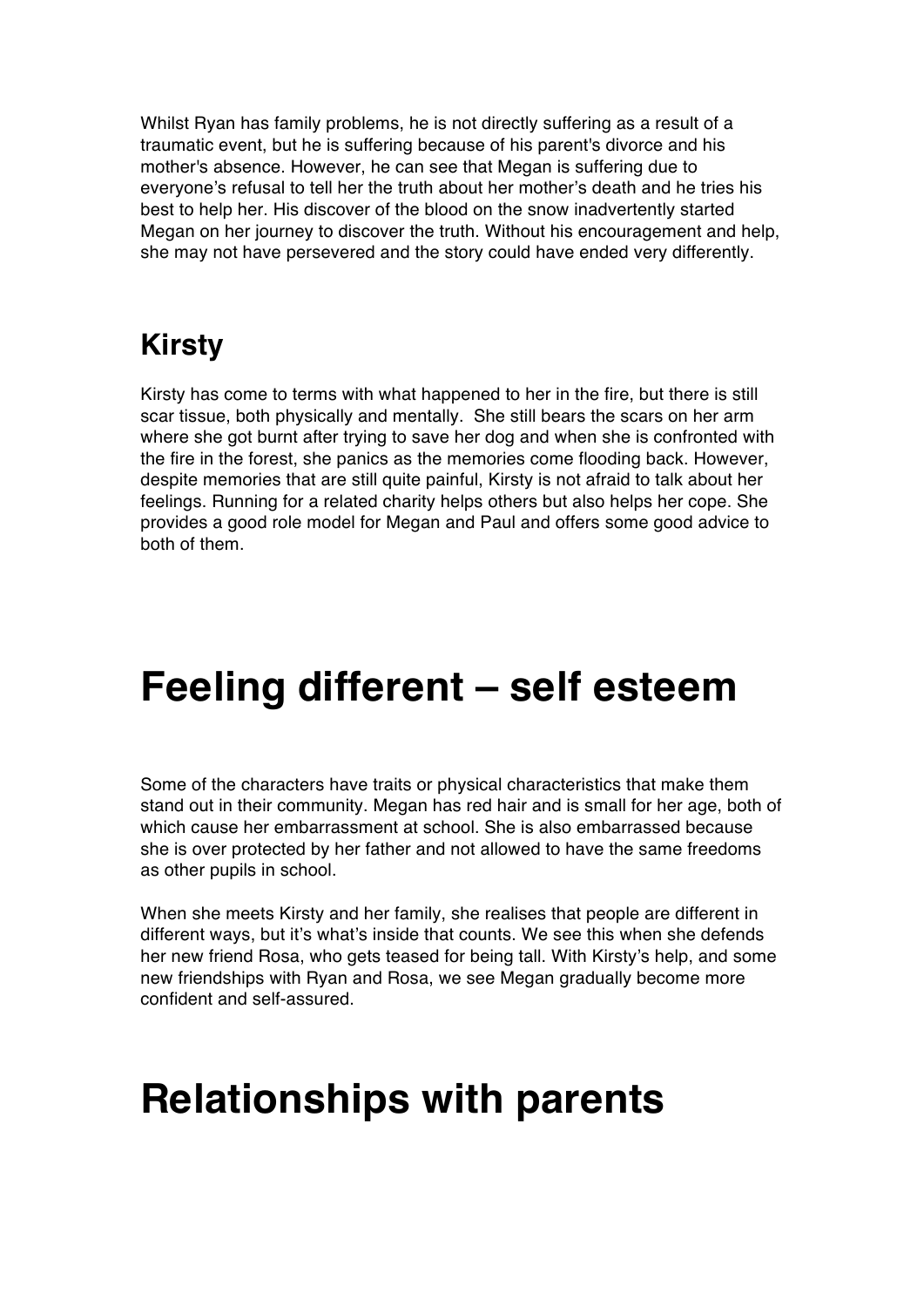Whilst Ryan has family problems, he is not directly suffering as a result of a traumatic event, but he is suffering because of his parent's divorce and his mother's absence. However, he can see that Megan is suffering due to everyone's refusal to tell her the truth about her mother's death and he tries his best to help her. His discover of the blood on the snow inadvertently started Megan on her journey to discover the truth. Without his encouragement and help, she may not have persevered and the story could have ended very differently.

### **Kirsty**

Kirsty has come to terms with what happened to her in the fire, but there is still scar tissue, both physically and mentally. She still bears the scars on her arm where she got burnt after trying to save her dog and when she is confronted with the fire in the forest, she panics as the memories come flooding back. However, despite memories that are still quite painful, Kirsty is not afraid to talk about her feelings. Running for a related charity helps others but also helps her cope. She provides a good role model for Megan and Paul and offers some good advice to both of them.

# **Feeling different – self esteem**

Some of the characters have traits or physical characteristics that make them stand out in their community. Megan has red hair and is small for her age, both of which cause her embarrassment at school. She is also embarrassed because she is over protected by her father and not allowed to have the same freedoms as other pupils in school.

When she meets Kirsty and her family, she realises that people are different in different ways, but it's what's inside that counts. We see this when she defends her new friend Rosa, who gets teased for being tall. With Kirsty's help, and some new friendships with Ryan and Rosa, we see Megan gradually become more confident and self-assured.

## **Relationships with parents**